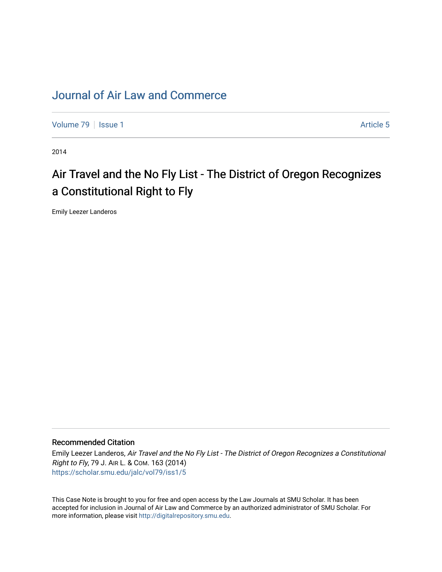## [Journal of Air Law and Commerce](https://scholar.smu.edu/jalc)

[Volume 79](https://scholar.smu.edu/jalc/vol79) | [Issue 1](https://scholar.smu.edu/jalc/vol79/iss1) Article 5

2014

# Air Travel and the No Fly List - The District of Oregon Recognizes a Constitutional Right to Fly

Emily Leezer Landeros

#### Recommended Citation

Emily Leezer Landeros, Air Travel and the No Fly List - The District of Oregon Recognizes a Constitutional Right to Fly, 79 J. AIR L. & COM. 163 (2014) [https://scholar.smu.edu/jalc/vol79/iss1/5](https://scholar.smu.edu/jalc/vol79/iss1/5?utm_source=scholar.smu.edu%2Fjalc%2Fvol79%2Fiss1%2F5&utm_medium=PDF&utm_campaign=PDFCoverPages) 

This Case Note is brought to you for free and open access by the Law Journals at SMU Scholar. It has been accepted for inclusion in Journal of Air Law and Commerce by an authorized administrator of SMU Scholar. For more information, please visit [http://digitalrepository.smu.edu](http://digitalrepository.smu.edu/).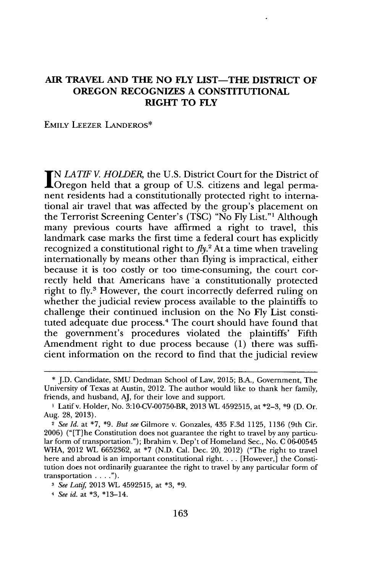### **AIR TRAVEL AND THE NO FLY LIST-THE DISTRICT OF OREGON RECOGNIZES A CONSTITUTIONAL RIGHT TO FLY**

#### **EMILY LEEZER LANDEROS\***

*IN LATIE V HOLDER,* the **U.S.** District Court for the District of Oregon held that a group of **U.S.** citizens and legal permanent residents had a constitutionally protected right to international air travel that was affected **by** the group's placement on the Terrorist Screening Center's **(TSC)** "No **Fly** List."' Although many previous courts have affirmed a right to travel, this landmark case marks the first time a federal court has explicitly recognized a constitutional right to  $fly<sup>2</sup>$ . At a time when traveling internationally **by** means other than flying is impractical, either because it is too costly or too time-consuming, the court correctly held that Americans have a constitutionally protected right to fly.<sup>3</sup> However, the court incorrectly deferred ruling on whether the judicial review process available to the plaintiffs to challenge their continued inclusion on the No **Fly** List constituted adequate due process.<sup>4</sup> The court should have found that the government's procedures violated the plaintiffs' Fifth Amendment right to due process because **(1)** there was sufficient information on the record to find that the judicial review

**<sup>\*</sup> J.D.** Candidate, **SMU** Dedman School of Law, **2015;** B.A., Government, The University of Texas at Austin, 2012. The author would like to thank her family, friends, and husband, **AJ,** for their love and support.

**I** Latif v. Holder, No. 3:10-CV-00750-BR, **2013** WL **4592515,** at **\*2-3, \*9 (D.** Or. Aug. **28, 2013).**

<sup>2</sup>*See Id.* at **\*7, \*9.** *But see* Gilmore v. Gonzales, 435 **F.3d 1125, 1136** (9th Cir. **2006)** ("[T]he Constitution does not guarantee the right to travel **by** any particular form of transportation."); Ibrahim v. Dep't of Homeland Sec., No. **C 06-00545** WHA, 2012 WL **6652362,** at **\*7 (N.D.** Cal. Dec. 20, 2012) ("The right to travel here and abroad is an important constitutional right. . . **.** [However,] the Constitution does not ordinarily guarantee the right to travel **by** any particular form of transportation **. . . .").**

*<sup>3</sup>See Latif* **2013** WL **4592515,** at **\*3, \*9.**

*<sup>4</sup> See id.* at **\*3,** \*13-14.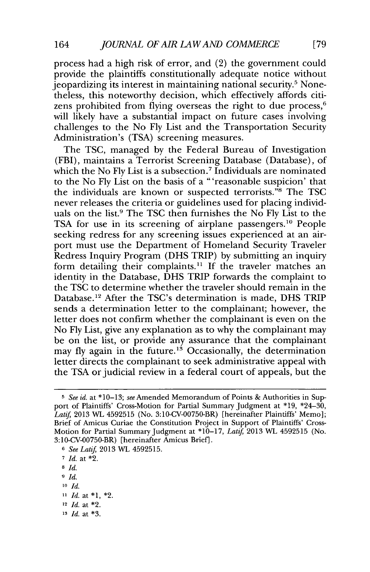process had a high risk of error, and (2) the government could provide the plaintiffs constitutionally adequate notice without jeopardizing its interest in maintaining national security.' Nonetheless, this noteworthy decision, which effectively affords citizens prohibited from flying overseas the right to due process, $6$ will likely have a substantial impact on future cases involving challenges to the No **Fly** List and the Transportation Security Administration's **(TSA)** screening measures.

The **TSC,** managed **by** the Federal Bureau of Investigation (FBI), maintains a Terrorist Screening Database (Database), of which the No **Fly** List is a subsection.' Individuals are nominated to the No **Fly** List on the basis of a "'reasonable suspicion' that the individuals are known or suspected terrorists.<sup>"8</sup> The TSC never releases the criteria or guidelines used for placing individuals on the list.<sup>9</sup> The TSC then furnishes the No Fly List to the **TSA** for use in its screening of airplane passengers.10 People seeking redress for any screening issues experienced at an airport must use the Department of Homeland Security Traveler Redress Inquiry Program **(DHS** TRIP) **by** submitting an inquiry form detailing their complaints.<sup>11</sup> If the traveler matches an identity in the Database, **DHS** TRIP forwards the complaint to the **TSC** to determine whether the traveler should remain in the Database." After the TSC's determination is made, **DHS** TRIP sends a determination letter to the complainant; however, the letter does not confirm whether the complainant is even on the No **Fly** List, give any explanation as to why the complainant may be on the list, or provide any assurance that the complainant may fly again in the future.<sup>13</sup> Occasionally, the determination letter directs the complainant to seek administrative appeal with the **TSA** or judicial review in a federal court of appeals, but the

**10** *Id.*

- **<sup>12</sup>***Id.* at \*2.
- **<sup>13</sup>***Id.* at **\*3.**

*<sup>5</sup> See id. at* **\*10-13;** *see* Amended Memorandum of Points **&** Authorities in Support of Plaintiffs' Cross-Motion for Partial Summary Judgment at **\*19,** \*24-30, *Latif* **2013** WL **4592515** (No. 3:10-CV-00750-BR) [hereinafter Plaintiffs' Memo]; Brief of Amicus Curiae the Constitution Project in Support of Plaintiffs' Cross-Motion for Partial Summary Judgment at **\*10-17,** *Latif* **2013** WL **4592515** (No. 3:10-CV-00750-BR) [hereinafter Amicus Brief].

**<sup>6</sup>***See Latif* **2013** WL **4592515.**

**<sup>7</sup>***Id.* at \*2.

**<sup>8</sup>** *Id.*

**<sup>9</sup>** *Id.*

**<sup>11</sup>** *Id.* at **\*1,** \*2.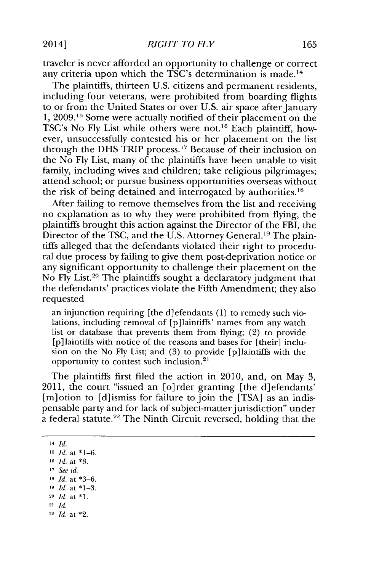traveler is never afforded an opportunity to challenge or correct any criteria upon which the TSC's determination is made.<sup>14</sup>

The plaintiffs, thirteen **U.S.** citizens and permanent residents, including four veterans, were prohibited from boarding flights to or from the United States or over **U.S.** air space after January **1, 2009.15** Some were actually notified of their placement on the TSC's No Fly List while others were not.<sup>16</sup> Each plaintiff, however, unsuccessfully contested his or her placement on the list through the **DHS** TRIP process." Because of their inclusion on the No **Fly** List, many of the plaintiffs have been unable to visit family, including wives and children; take religious pilgrimages; attend school; or pursue business opportunities overseas without the risk of being detained and interrogated **by** authorities."

After failing to remove themselves from the list and receiving no explanation as to why they were prohibited from flying, the plaintiffs brought this action against the Director of the FBI, the Director of the **TSC,** and the **U.S.** Attorney General.19 The plaintiffs alleged that the defendants violated their right to procedural due process **by** failing to give them post-deprivation notice or any significant opportunity to challenge their placement on the No **Fly** List. 20 The plaintiffs sought a declaratory judgment that the defendants' practices violate the Fifth Amendment; they also requested

an injunction requiring [the d]efendants **(1)** to remedy such violations, including removal of [p]laintiffs' names from any watch list or database that prevents them from flying; (2) to provide [p]laintiffs with notice of the reasons and bases for [their] inclusion on the No **Fly** List; and **(3)** to provide [p]laintiffs with the opportunity to contest such inclusion.

The plaintiffs first filed the action in 2010, and, on May **3,** 2011, the court "issued an [o]rder granting [the d]efendants' [m]otion to [d]ismiss for failure to join the **[TSA]** as an indispensable party and for lack of subject-matter jurisdiction" under a federal statute.<sup>22</sup> The Ninth Circuit reversed, holding that the

**<sup>14</sup>***Id.*

**<sup>15</sup>***Id.* at **\*1-6.**

- **<sup>16</sup>***Id.* at **\*3.**
- **<sup>17</sup>***See id.*
- **18** *Id. at* **\*3-6.**
- **19** *Id. at* **\*1-3.**
- **<sup>20</sup>***Id. at* **\*1.**
- **<sup>21</sup>***Id.*
- **<sup>22</sup>***Id. at* \*2.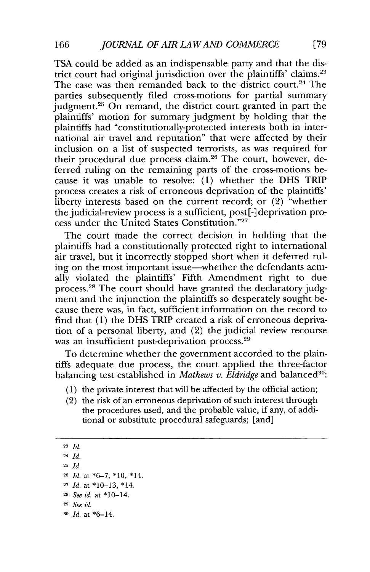**TSA** could be added as an indispensable party and that the district court had original jurisdiction over the plaintiffs' claims.<sup>23</sup> The case was then remanded back to the district court.<sup>24</sup> The parties subsequently filed cross-motions for partial summary judgment.<sup>25</sup> On remand, the district court granted in part the plaintiffs' motion for summary judgment **by** holding that the plaintiffs had "constitutionally-protected interests both in international air travel and reputation" that were affected **by** their inclusion on a list of suspected terrorists, as was required for their procedural due process claim.<sup>26</sup> The court, however, deferred ruling on the remaining parts of the cross-motions because it was unable to resolve: **(1)** whether the **DHS** TRIP process creates a risk of erroneous deprivation of the plaintiffs' liberty interests based on the current record; or (2) "whether the judicial-review process is a sufficient, **post[-]** deprivation process under the United States Constitution."<sup>27</sup>

The court made the correct decision in holding that the plaintiffs had a constitutionally protected right to international air travel, but it incorrectly stopped short when it deferred ruling on the most important issue—whether the defendants actually violated the plaintiffs' Fifth Amendment right to due process.28 The court should have granted the declaratory **judg**ment and the injunction the plaintiffs so desperately sought because there was, in fact, sufficient information on the record to find that **(1)** the **DHS** TRIP created a risk of erroneous deprivation of a personal liberty, and (2) the judicial review recourse was an insufficient post-deprivation process.<sup>29</sup>

To determine whether the government accorded to the plaintiffs adequate due process, the court applied the three-factor balancing test established in *Mathews v. Eldridge* and balanced<sup>30</sup>:

- **(1)** the private interest that will be affected **by** the official action;
- (2) the risk of an erroneous deprivation of such interest through the procedures used, and the probable value, if any, of additional or substitute procedural safeguards; [and]

- **<sup>27</sup>***Id. at* **\*10-13,** \*14.
- **<sup>28</sup>***See id. at* \*10-14.
- **<sup>29</sup>***See id.*

**<sup>23</sup>***Id.*

**<sup>24</sup>***Id.*

**<sup>25</sup>***Id.*

**<sup>26</sup>***Id. at \*6-7,* **\*10,** \*14.

**<sup>30</sup>** *Id. at* \*6-14.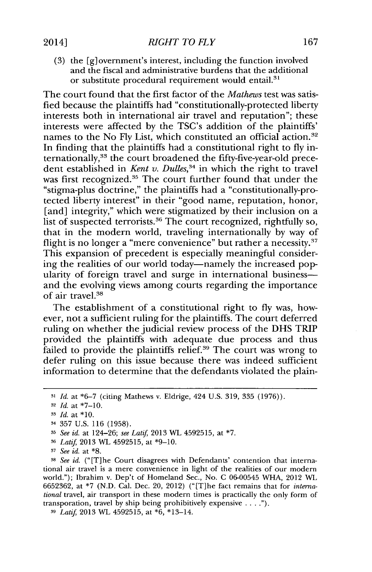**(3)** the [g]ovemment's interest, including the function involved and the fiscal and administrative burdens that the additional or substitute procedural requirement would entail.<sup>31</sup>

The court found that the first factor of the *Mathews* test was satisfied because the plaintiffs had "constitutionally-protected liberty interests both in international air travel and reputation"; these interests were affected **by** the TSC's addition of the plaintiffs' names to the No Fly List, which constituted an official action.<sup>32</sup> In finding that the plaintiffs had a constitutional right to **fly** internationally,<sup>33</sup> the court broadened the fifty-five-year-old precedent established in *Kent v. Dulles*<sup>34</sup> in which the right to travel was first recognized.<sup>35</sup> The court further found that under the "stigma-plus doctrine," the plaintiffs had a "constitutionally-protected liberty interest" in their "good name, reputation, honor, [and] integrity," which were stigmatized **by** their inclusion on a list of suspected terrorists.<sup>36</sup> The court recognized, rightfully so, that in the modern world, traveling internationally **by** way of flight is no longer a "mere convenience" but rather a necessity. $37$ This expansion of precedent is especially meaningful considering the realities of our world today-namely the increased popularity of foreign travel and surge in international business and the evolving views among courts regarding the importance of air travel.<sup>38</sup>

The establishment of a constitutional right to **fly** was, however, not a sufficient ruling for the plaintiffs. The court deferred ruling on whether the judicial review process of the **DHS** TRIP provided the plaintiffs with adequate due process and thus failed to provide the plaintiffs relief.<sup>39</sup> The court was wrong to defer ruling on this issue because there was indeed sufficient information to determine that the defendants violated the plain-

**<sup>36</sup>***Latif* **2013** WL **4592515,** at **\*9-10.**

**38** *See id.* ("[T]he Court disagrees with Defendants' contention that international air travel is a mere convenience in light of the realities of our modern world."); Ibrahim v. Dep't of Homeland Sec., No. **C 06-00545** WHA, 2012 WL **6652362,** at **\*7 (N.D.** Cal. Dec. 20, 2012) ("[T]he fact remains that for *international* travel, air transport in these modern times is practically the only form of transporation, travel **by** ship being prohibitively expensive.

**<sup>3</sup>***Latif* **2013** WL **4592515,** at **\*6,** \*13-14.

**<sup>31</sup>***Id.* at **\*6-7** (citing Mathews v. Eldrige, 424 **U.S. 319, 335 (1976)).**

**<sup>32</sup>***Id.* at \*7-10.

**<sup>3</sup>** *Id.* at **\*10.**

<sup>34</sup>**357 U.S. 116 (1958).**

**<sup>3</sup>***See id. at* 124-26; *see Latif* **2013** WL **4592515,** at **\*7.**

**<sup>3</sup>***See id. at* **\*8.**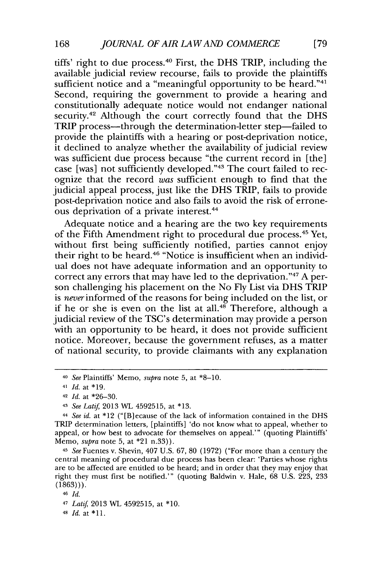tiffs' right to due process.40 First, the **DHS** TRIP, including the available judicial review recourse, fails to provide the plaintiffs sufficient notice and a "meaningful opportunity to be heard." $41$ Second, requiring the government to provide a hearing and constitutionally adequate notice would not endanger national security.<sup>42</sup> Although the court correctly found that the DHS TRIP process—through the determination-letter step—failed to provide the plaintiffs with a hearing or post-deprivation notice, it declined to analyze whether the availability of judicial review was sufficient due process because "the current record in [the] case [was] not sufficiently developed." **3** The court failed to recognize that the record *was* sufficient enough to find that the judicial appeal process, just like the **DHS** TRIP, fails to provide post-deprivation notice and also fails to avoid the risk of erroneous deprivation of a private interest.<sup>44</sup>

Adequate notice and a hearing are the two key requirements of the Fifth Amendment right to procedural due process.<sup>45</sup> Yet, without first being sufficiently notified, parties cannot enjoy their right to be heard.<sup>46</sup> "Notice is insufficient when an individual does not have adequate information and an opportunity to correct any errors that may have led to the deprivation."<sup>47</sup> A person challenging his placement on the No **Fly** List via **DHS** TRIP is *never* informed of the reasons for being included on the list, or if he or she is even on the list at all. $48$ <sup>x</sup> Therefore, although a judicial review of the TSC's determination may provide a person with an opportunity to be heard, it does not provide sufficient notice. Moreover, because the government refuses, as a matter of national security, to provide claimants with any explanation

<sup>4</sup>*See* Fuentes v. Shevin, 407 **U.S. 67, 80 (1972)** ("For more than a century the central meaning of procedural due process has been clear: 'Parties whose rights are to be affected are entitled to be heard; and in order that they may enjoy that right they must first be notified."' (quoting Baldwin v. Hale, **68 U.S. 223, 233 (1863))).**

**<sup>46</sup>***Id.*

**48** *Id.* at **\*11.**

**<sup>40</sup>***See* Plaintiffs' Memo, *supra* note **5,** at **\*8-10.**

**<sup>41</sup>***Id.* at **\*19.**

**<sup>42</sup>***Id.* at **\*26-30.**

<sup>43</sup>*See Latif* **2013** WL **4592515,** at **\*13.**

<sup>44</sup>*See id.* at \*12 ("[B]ecause of the lack of information contained in the **DHS** TRIP determination letters, [plaintiffs] 'do not know what to appeal, whether to appeal, or how best to advocate for themselves on appeal."' (quoting Plaintiffs' Memo, *supra* note **5,** at \*21 n.33)).

<sup>47</sup>*Latif* **2013** WL **4592515,** at **\*10.**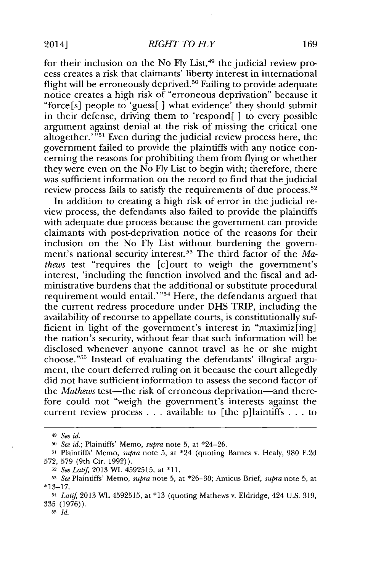for their inclusion on the No Fly List,<sup>49</sup> the judicial review process creates a risk that claimants' liberty interest in international flight will be erroneously deprived.<sup>50</sup> Failing to provide adequate notice creates a high risk of "erroneous deprivation" because it "force[s] people to 'guess[ **]** what evidence' they should submit in their defense, driving them to 'respond[ ] to every possible argument against denial at the risk of missing the critical one altogether.'<sup>"51</sup> Even during the judicial review process here, the government failed to provide the plaintiffs with any notice concerning the reasons for prohibiting them from flying or whether they were even on the No **Fly** List to begin with; therefore, there was sufficient information on the record to find that the judicial review process fails to satisfy the requirements of due process.<sup>52</sup>

In addition to creating a high risk of error in the judicial review process, the defendants also failed to provide the plaintiffs with adequate due process because the government can provide claimants with post-deprivation notice of the reasons for their inclusion on the No **Fly** List without burdening the government's national security interest.<sup>53</sup> The third factor of the Ma*thews* test "requires the [c]ourt to weigh the government's interest, 'including the function involved and the fiscal and administrative burdens that the additional or substitute procedural requirement would entail.' $\frac{1}{100}$  Here, the defendants argued that the current redress procedure under **DHS** TRIP, including the availability of recourse to appellate courts, is constitutionally sufficient in light of the government's interest in "maximiz[ing] the nation's security, without fear that such information will be disclosed whenever anyone cannot travel as he or she might choose."<sup>55</sup> Instead of evaluating the defendants' illogical argument, the court deferred ruling on it because the court allegedly did not have sufficient information to assess the second factor of the Mathews test-the risk of erroneous deprivation-and therefore could not "weigh the government's interests against the current review process **. . .** available to [the p]laintiffs **. . .** to

<sup>49</sup> *See id.*

**<sup>50</sup>***See id.;* Plaintiffs' Memo, *supra* note **5,** at \*24-26.

**<sup>51</sup>**Plaintiffs' Memo, *supra* note **5,** at \*24 (quoting Barnes v. Healy, **980 F.2d 572, 579** (9th Cir. **1992)).**

**<sup>52</sup>***See Latif* **2013** WL **4592515,** at **\*11.**

**<sup>53</sup>***See* Plaintiffs' Memo, *supra* note **5,** at **\*26-30;** Amicus Brief, *supra* note **5,** at **\*13-17.**

<sup>54</sup>*Latif* **2013** WL **4592515,** at **\*13** (quoting Mathews v. Eldridge, 424 **U.S. 319, 335 (1976)).**

**<sup>55</sup>***Id.*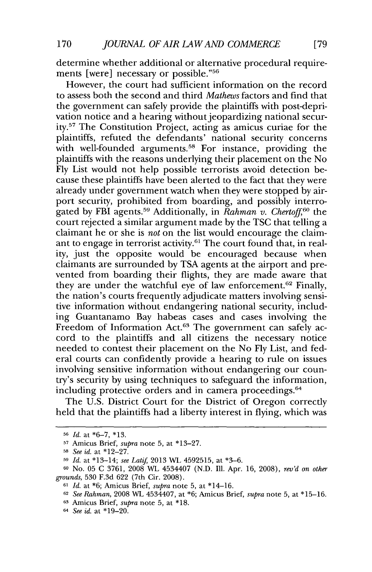determine whether additional or alternative procedural requirements [were] necessary or possible."<sup>56</sup>

However, the court had sufficient information on the record to assess both the second and third *Mathews* factors and find that the government can safely provide the plaintiffs with post-deprivation notice and a hearing without jeopardizing national security.<sup>57</sup> The Constitution Project, acting as amicus curiae for the plaintiffs, refuted the defendants' national security concerns with well-founded arguments.<sup>58</sup> For instance, providing the plaintiffs with the reasons underlying their placement on the No **Fly** List would not help possible terrorists avoid detection because these plaintiffs have been alerted to the fact that they were already under government watch when they were stopped **by** airport security, prohibited from boarding, and possibly interrogated by FBI agents.<sup>59</sup> Additionally, in *Rahman v. Chertoff*<sup>60</sup> the court rejected a similar argument made **by** the **TSC** that telling a claimant he or she is *not* on the list would encourage the claimant to engage in terrorist activity.<sup>61</sup> The court found that, in reality, just the opposite would be encouraged because when claimants are surrounded **by TSA** agents at the airport and prevented from boarding their flights, they are made aware that they are under the watchful eye of law enforcement.<sup>62</sup> Finally, the nation's courts frequently adjudicate matters involving sensitive information without endangering national security, including Guantanamo Bay habeas cases and cases involving the Freedom of Information Act.<sup>63</sup> The government can safely accord to the plaintiffs and all citizens the necessary notice needed to contest their placement on the No **Fly** List, and federal courts can confidently provide a hearing to rule on issues involving sensitive information without endangering our country's security **by** using techniques to safeguard the information, including protective orders and in camera proceedings.<sup>64</sup>

The **U.S.** District Court for the District of Oregon correctly held that the plaintiffs had a liberty interest in flying, which was

**<sup>56</sup>***Id.* at **\*6-7, \*13.**

**<sup>57</sup>**Amicus Brief, *supra* note **5,** at **\*13-27.**

**<sup>58</sup>***See id.* at **\*12-27.**

**<sup>59</sup>***Id.* at \*13-14; *see Latif* **2013** WL **4592515,** at **\*3-6.**

**<sup>60</sup>**No. **05 C 3761, 2008** WL 4534407 **(N.D.** Ill. Apr. **16, 2008),** *rev'd on other grounds,* **530 F.3d 622** (7th Cir. **2008).**

**<sup>61</sup>***Id.* at **\*6;** Amicus Brief, *supra* note **5,** at \*14-16.

**<sup>62</sup>***See Rahman,* **2008** WL 4534407, at **\*6;** Amicus Brief, *supra* note **5,** at **\*15-16.**

**<sup>63</sup>**Amicus Brief, *supra* note **5,** at **\*18.**

**<sup>64</sup>** *See id.* at **\*19-20.**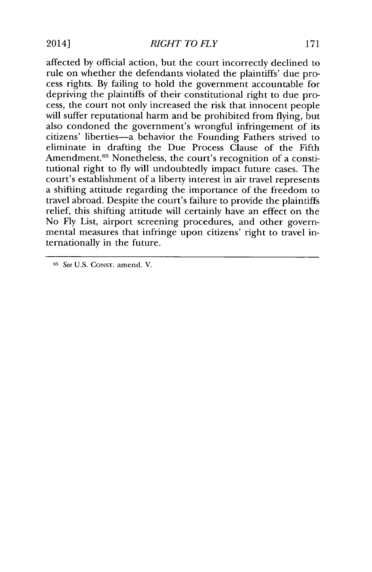*RIGHT TO FLY* 2014] **171**

affected **by** official action, but the court incorrectly declined to rule on whether the defendants violated the plaintiffs' due process rights. **By** failing to hold the government accountable for depriving the plaintiffs of their constitutional right to due process, the court not only increased the risk that innocent people will suffer reputational harm and be prohibited from flying, but also condoned the government's wrongful infringement of its citizens' liberties-a behavior the Founding Fathers strived to eliminate in drafting the Due Process Clause of the Fifth Amendment.<sup>65</sup> Nonetheless, the court's recognition of a constitutional right to **fly** will undoubtedly impact future cases. The court's establishment of a liberty interest in air travel represents a shifting attitude regarding the importance of the freedom to travel abroad. Despite the court's failure to provide the plaintiffs relief, this shifting attitude will certainly have an effect on the No **Fly** List, airport screening procedures, and other governmental measures that infringe upon citizens' right to travel internationally in the future.

**<sup>65</sup>**See **U.S. CONST.** amend. V.